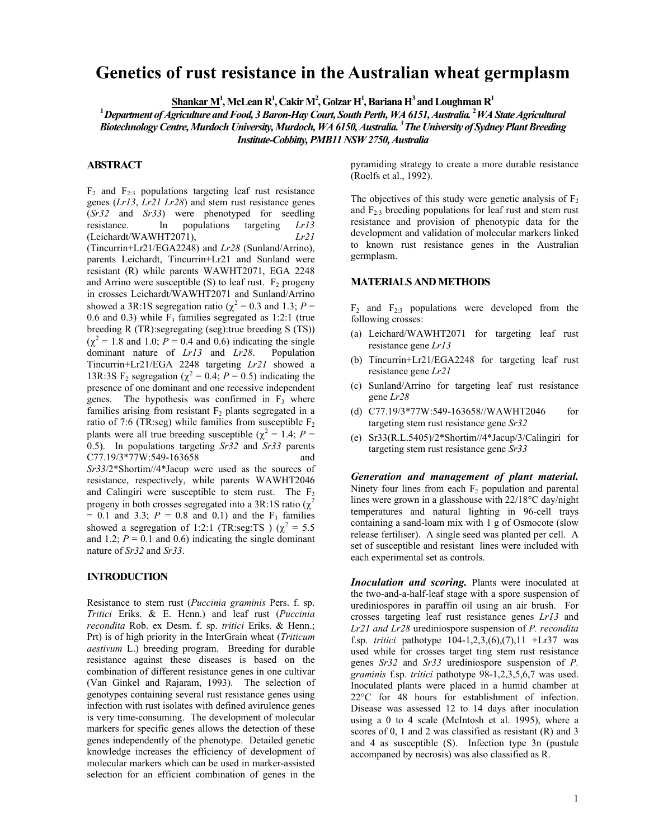# **Genetics of rust resistance in the Australian wheat germplasm**

 ${\bf Shankar\,} {\bf M}^{\!1}, {\bf Mc}$ Lean  ${\bf R}^{\!1}, {\bf Cakir\,} {\bf M}^{\!2}, {\bf Gokar\,} {\bf H}^{\!1}, {\bf Bariana\,} {\bf H}^3$  and Loughman  ${\bf R}^1$ 

**<sup>1</sup>***Department of Agriculture and Food, 3 Baron-Hay Court, South Perth, WA 6151, Australia.* **<sup>2</sup>***WA State Agricultural Biotechnology Centre, Murdoch University, Murdoch, WA 6150, Australia. 3 The University of Sydney Plant Breeding Institute-Cobbitty, PMB11 NSW 2750, Australia* 

## **ABSTRACT**

 $F_2$  and  $F_{2:3}$  populations targeting leaf rust resistance genes (*Lr13*, *Lr21 Lr28*) and stem rust resistance genes (*Sr32* and *Sr33*) were phenotyped for seedling resistance. In populations targeting *Lr13* (Leichardt/WAWHT2071), *Lr21* (Tincurrin+Lr21/EGA2248) and *Lr28* (Sunland/Arrino), parents Leichardt, Tincurrin+Lr21 and Sunland were resistant (R) while parents WAWHT2071, EGA 2248 and Arrino were susceptible  $(S)$  to leaf rust.  $F_2$  progeny in crosses Leichardt/WAWHT2071 and Sunland/Arrino showed a 3R:1S segregation ratio ( $\chi^2 = 0.3$  and 1.3; *P* = 0.6 and 0.3) while  $F_3$  families segregated as 1:2:1 (true breeding R (TR):segregating (seg):true breeding S (TS))  $(\chi^2 = 1.8$  and 1.0;  $P = 0.4$  and 0.6) indicating the single dominant nature of *Lr13* and *Lr28*. Population Tincurrin+Lr21/EGA 2248 targeting *Lr21* showed a 13R:3S F<sub>2</sub> segregation ( $\chi^2 = 0.4$ ;  $P = 0.5$ ) indicating the presence of one dominant and one recessive independent genes. The hypothesis was confirmed in  $F_3$  where families arising from resistant  $F<sub>2</sub>$  plants segregated in a ratio of 7:6 (TR:seg) while families from susceptible  $F_2$ plants were all true breeding susceptible ( $\chi^2 = 1.4$ ;  $P =$ 0.5). In populations targeting *Sr32* and *Sr33* parents C77.19/3\*77W:549-163658 and *Sr33*/2\*Shortim//4\*Jacup were used as the sources of resistance, respectively, while parents WAWHT2046 and Calingiri were susceptible to stem rust. The  $F_2$ progeny in both crosses segregated into a 3R:1S ratio ( $\chi^2$  $= 0.1$  and 3.3;  $P = 0.8$  and 0.1) and the F<sub>3</sub> families showed a segregation of 1:2:1 (TR:seg:TS ) ( $\chi^2 = 5.5$ ) and 1.2;  $P = 0.1$  and 0.6) indicating the single dominant nature of *Sr32* and *Sr33*.

## **INTRODUCTION**

Resistance to stem rust (*Puccinia graminis* Pers. f. sp. *Tritici* Eriks. & E. Henn.) and leaf rust (*Puccinia recondita* Rob. ex Desm. f. sp. *tritici* Eriks. & Henn.; Prt) is of high priority in the InterGrain wheat (*Triticum aestivum* L.) breeding program. Breeding for durable resistance against these diseases is based on the combination of different resistance genes in one cultivar (Van Ginkel and Rajaram, 1993). The selection of genotypes containing several rust resistance genes using infection with rust isolates with defined avirulence genes is very time-consuming. The development of molecular markers for specific genes allows the detection of these genes independently of the phenotype. Detailed genetic knowledge increases the efficiency of development of molecular markers which can be used in marker-assisted selection for an efficient combination of genes in the

pyramiding strategy to create a more durable resistance (Roelfs et al., 1992).

The objectives of this study were genetic analysis of  $F<sub>2</sub>$ and  $F_{23}$  breeding populations for leaf rust and stem rust resistance and provision of phenotypic data for the development and validation of molecular markers linked to known rust resistance genes in the Australian germplasm.

#### **MATERIALS AND METHODS**

 $F_2$  and  $F_{2:3}$  populations were developed from the following crosses:

- (a) Leichard/WAWHT2071 for targeting leaf rust resistance gene *Lr13*
- (b) Tincurrin+Lr21/EGA2248 for targeting leaf rust resistance gene *Lr21*
- (c) Sunland/Arrino for targeting leaf rust resistance gene *Lr28*
- (d) C77.19/3\*77W:549-163658//WAWHT2046 for targeting stem rust resistance gene *Sr32*
- (e) Sr33(R.L.5405)/2\*Shortim//4\*Jacup/3/Calingiri for targeting stem rust resistance gene *Sr33*

*Generation and management of plant material.*  Ninety four lines from each  $F_2$  population and parental lines were grown in a glasshouse with 22/18°C day/night temperatures and natural lighting in 96-cell trays containing a sand-loam mix with 1 g of Osmocote (slow release fertiliser). A single seed was planted per cell. A set of susceptible and resistant lines were included with each experimental set as controls.

*Inoculation and scoring.* Plants were inoculated at the two-and-a-half-leaf stage with a spore suspension of urediniospores in paraffin oil using an air brush. For crosses targeting leaf rust resistance genes *Lr13* and *Lr21 and Lr28* urediniospore suspension of *P. recondita* f.sp. *tritici* pathotype 104-1,2,3,(6),(7),11 +Lr37 was used while for crosses target ting stem rust resistance genes *Sr32* and *Sr33* urediniospore suspension of *P. graminis* f.sp. *tritici* pathotype 98-1,2,3,5,6,7 was used. Inoculated plants were placed in a humid chamber at 22°C for 48 hours for establishment of infection. Disease was assessed 12 to 14 days after inoculation using a 0 to 4 scale (McIntosh et al. 1995), where a scores of 0, 1 and 2 was classified as resistant (R) and 3 and 4 as susceptible (S). Infection type 3n (pustule accompaned by necrosis) was also classified as R.